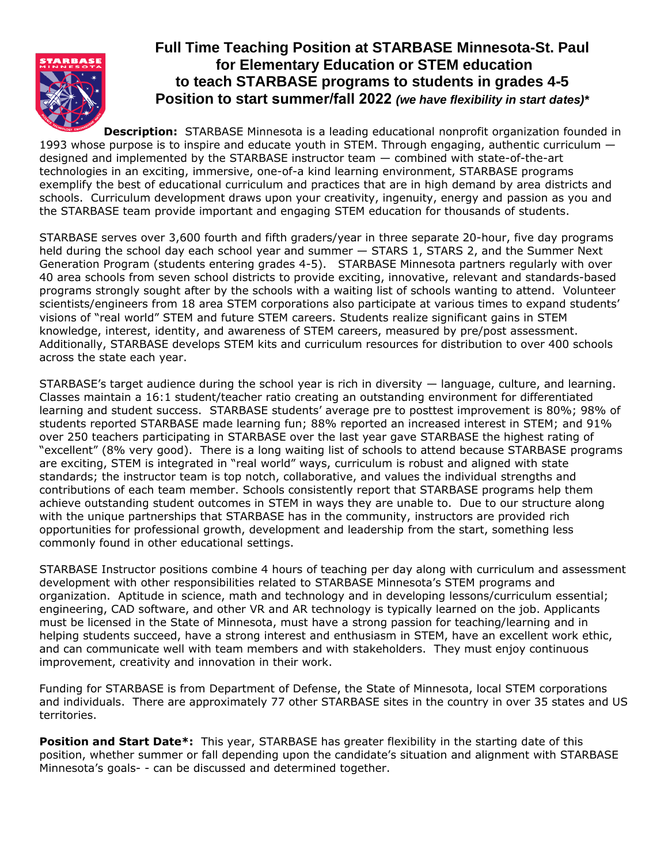

# **Full Time Teaching Position at STARBASE Minnesota-St. Paul for Elementary Education or STEM education to teach STARBASE programs to students in grades 4-5 Position to start summer/fall 2022** *(we have flexibility in start dates)\**

**Description:** STARBASE Minnesota is a leading educational nonprofit organization founded in 1993 whose purpose is to inspire and educate youth in STEM. Through engaging, authentic curriculum  $$ designed and implemented by the STARBASE instructor team — combined with state-of-the-art technologies in an exciting, immersive, one-of-a kind learning environment, STARBASE programs exemplify the best of educational curriculum and practices that are in high demand by area districts and schools. Curriculum development draws upon your creativity, ingenuity, energy and passion as you and the STARBASE team provide important and engaging STEM education for thousands of students.

STARBASE serves over 3,600 fourth and fifth graders/year in three separate 20-hour, five day programs held during the school day each school year and summer - STARS 1, STARS 2, and the Summer Next Generation Program (students entering grades 4-5). STARBASE Minnesota partners regularly with over 40 area schools from seven school districts to provide exciting, innovative, relevant and standards-based programs strongly sought after by the schools with a waiting list of schools wanting to attend. Volunteer scientists/engineers from 18 area STEM corporations also participate at various times to expand students' visions of "real world" STEM and future STEM careers. Students realize significant gains in STEM knowledge, interest, identity, and awareness of STEM careers, measured by pre/post assessment. Additionally, STARBASE develops STEM kits and curriculum resources for distribution to over 400 schools across the state each year.

STARBASE's target audience during the school year is rich in diversity — language, culture, and learning. Classes maintain a 16:1 student/teacher ratio creating an outstanding environment for differentiated learning and student success. STARBASE students' average pre to posttest improvement is 80%; 98% of students reported STARBASE made learning fun; 88% reported an increased interest in STEM; and 91% over 250 teachers participating in STARBASE over the last year gave STARBASE the highest rating of "excellent" (8% very good). There is a long waiting list of schools to attend because STARBASE programs are exciting, STEM is integrated in "real world" ways, curriculum is robust and aligned with state standards; the instructor team is top notch, collaborative, and values the individual strengths and contributions of each team member. Schools consistently report that STARBASE programs help them achieve outstanding student outcomes in STEM in ways they are unable to. Due to our structure along with the unique partnerships that STARBASE has in the community, instructors are provided rich opportunities for professional growth, development and leadership from the start, something less commonly found in other educational settings.

STARBASE Instructor positions combine 4 hours of teaching per day along with curriculum and assessment development with other responsibilities related to STARBASE Minnesota's STEM programs and organization. Aptitude in science, math and technology and in developing lessons/curriculum essential; engineering, CAD software, and other VR and AR technology is typically learned on the job. Applicants must be licensed in the State of Minnesota, must have a strong passion for teaching/learning and in helping students succeed, have a strong interest and enthusiasm in STEM, have an excellent work ethic, and can communicate well with team members and with stakeholders. They must enjoy continuous improvement, creativity and innovation in their work.

Funding for STARBASE is from Department of Defense, the State of Minnesota, local STEM corporations and individuals. There are approximately 77 other STARBASE sites in the country in over 35 states and US territories.

**Position and Start Date\*:** This year, STARBASE has greater flexibility in the starting date of this position, whether summer or fall depending upon the candidate's situation and alignment with STARBASE Minnesota's goals- - can be discussed and determined together.